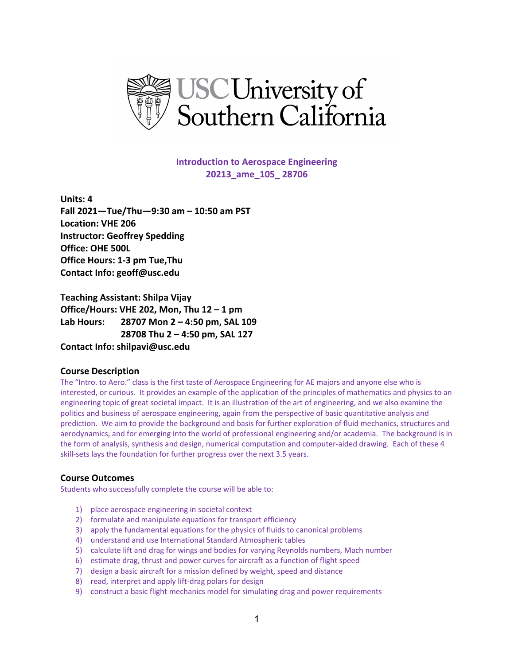

**Introduction to Aerospace Engineering 20213\_ame\_105\_ 28706**

**Units: 4 Fall 2021—Tue/Thu—9:30 am – 10:50 am PST Location: VHE 206 Instructor: Geoffrey Spedding Office: OHE 500L Office Hours: 1-3 pm Tue,Thu Contact Info: geoff@usc.edu**

**Teaching Assistant: Shilpa Vijay Office/Hours: VHE 202, Mon, Thu 12 – 1 pm Lab Hours: 28707 Mon 2 – 4:50 pm, SAL 109 28708 Thu 2 – 4:50 pm, SAL 127 Contact Info: shilpavi@usc.edu**

# **Course Description**

The "Intro. to Aero." class is the first taste of Aerospace Engineering for AE majors and anyone else who is interested, or curious. It provides an example of the application of the principles of mathematics and physics to an engineering topic of great societal impact. It is an illustration of the art of engineering, and we also examine the politics and business of aerospace engineering, again from the perspective of basic quantitative analysis and prediction. We aim to provide the background and basis for further exploration of fluid mechanics, structures and aerodynamics, and for emerging into the world of professional engineering and/or academia. The background is in the form of analysis, synthesis and design, numerical computation and computer-aided drawing. Each of these 4 skill-sets lays the foundation for further progress over the next 3.5 years.

## **Course Outcomes**

Students who successfully complete the course will be able to:

- 1) place aerospace engineering in societal context
- 2) formulate and manipulate equations for transport efficiency
- 3) apply the fundamental equations for the physics of fluids to canonical problems
- 4) understand and use International Standard Atmospheric tables
- 5) calculate lift and drag for wings and bodies for varying Reynolds numbers, Mach number
- 6) estimate drag, thrust and power curves for aircraft as a function of flight speed
- 7) design a basic aircraft for a mission defined by weight, speed and distance
- 8) read, interpret and apply lift-drag polars for design
- 9) construct a basic flight mechanics model for simulating drag and power requirements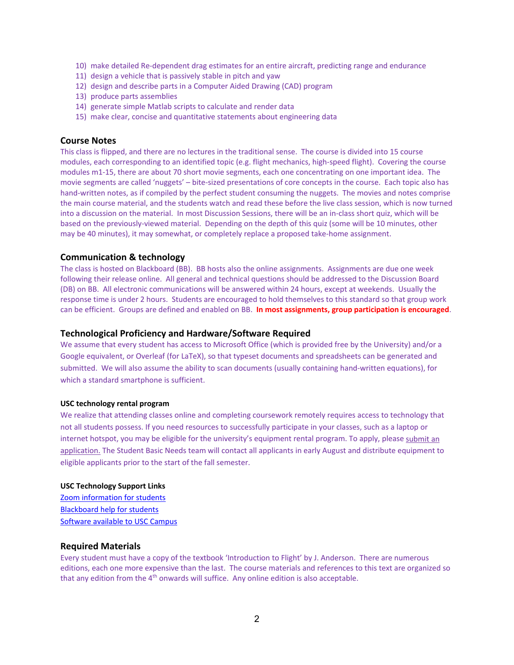- 10) make detailed Re-dependent drag estimates for an entire aircraft, predicting range and endurance
- 11) design a vehicle that is passively stable in pitch and yaw
- 12) design and describe parts in a Computer Aided Drawing (CAD) program
- 13) produce parts assemblies
- 14) generate simple Matlab scripts to calculate and render data
- 15) make clear, concise and quantitative statements about engineering data

### **Course Notes**

This class is flipped, and there are no lectures in the traditional sense. The course is divided into 15 course modules, each corresponding to an identified topic (e.g. flight mechanics, high-speed flight). Covering the course modules m1-15, there are about 70 short movie segments, each one concentrating on one important idea. The movie segments are called 'nuggets' – bite-sized presentations of core concepts in the course. Each topic also has hand-written notes, as if compiled by the perfect student consuming the nuggets. The movies and notes comprise the main course material, and the students watch and read these before the live class session, which is now turned into a discussion on the material. In most Discussion Sessions, there will be an in-class short quiz, which will be based on the previously-viewed material. Depending on the depth of this quiz (some will be 10 minutes, other may be 40 minutes), it may somewhat, or completely replace a proposed take-home assignment.

### **Communication & technology**

The class is hosted on Blackboard (BB). BB hosts also the online assignments. Assignments are due one week following their release online. All general and technical questions should be addressed to the Discussion Board (DB) on BB. All electronic communications will be answered within 24 hours, except at weekends. Usually the response time is under 2 hours. Students are encouraged to hold themselves to this standard so that group work can be efficient. Groups are defined and enabled on BB. **In most assignments, group participation is encouraged**.

### **Technological Proficiency and Hardware/Software Required**

We assume that every student has access to Microsoft Office (which is provided free by the University) and/or a Google equivalent, or Overleaf (for LaTeX), so that typeset documents and spreadsheets can be generated and submitted. We will also assume the ability to scan documents (usually containing hand-written equations), for which a standard smartphone is sufficient.

#### **USC technology rental program**

We realize that attending classes online and completing coursework remotely requires access to technology that not all students possess. If you need resources to successfully participate in your classes, such as a laptop or internet hotspot, you may be eligible for the university's equipment rental program. To apply, please [submit an](https://studentbasicneeds.usc.edu/resources/technology-assistance/)  [application.](https://studentbasicneeds.usc.edu/resources/technology-assistance/) The Student Basic Needs team will contact all applicants in early August and distribute equipment to eligible applicants prior to the start of the fall semester.

#### **USC Technology Support Links**

[Zoom information for students](https://keepteaching.usc.edu/start-learning/) [Blackboard help for students](https://studentblackboardhelp.usc.edu/) [Software available to USC Campus](https://software.usc.edu/)

### **Required Materials**

Every student must have a copy of the textbook 'Introduction to Flight' by J. Anderson. There are numerous editions, each one more expensive than the last. The course materials and references to this text are organized so that any edition from the  $4<sup>th</sup>$  onwards will suffice. Any online edition is also acceptable.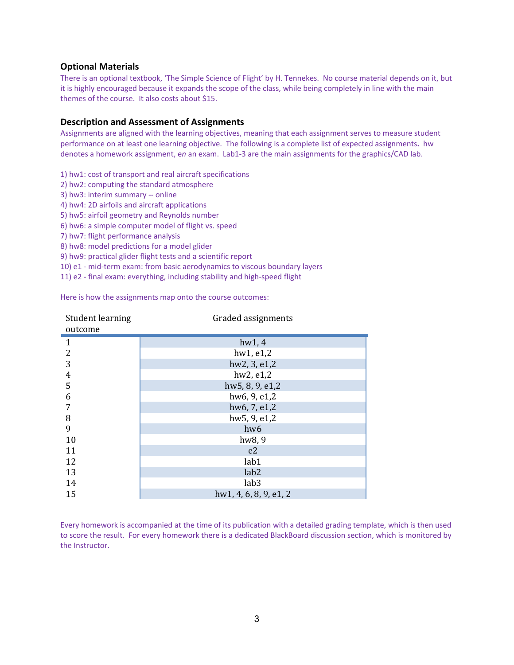## **Optional Materials**

There is an optional textbook, 'The Simple Science of Flight' by H. Tennekes. No course material depends on it, but it is highly encouraged because it expands the scope of the class, while being completely in line with the main themes of the course. It also costs about \$15.

## **Description and Assessment of Assignments**

Assignments are aligned with the learning objectives, meaning that each assignment serves to measure student performance on at least one learning objective. The following is a complete list of expected assignments**.** hw denotes a homework assignment, e*n* an exam. Lab1-3 are the main assignments for the graphics/CAD lab.

1) hw1: cost of transport and real aircraft specifications

- 2) hw2: computing the standard atmosphere
- 3) hw3: interim summary -- online
- 4) hw4: 2D airfoils and aircraft applications
- 5) hw5: airfoil geometry and Reynolds number
- 6) hw6: a simple computer model of flight vs. speed
- 7) hw7: flight performance analysis
- 8) hw8: model predictions for a model glider
- 9) hw9: practical glider flight tests and a scientific report
- 10) e1 mid-term exam: from basic aerodynamics to viscous boundary layers
- 11) e2 final exam: everything, including stability and high-speed flight

Here is how the assignments map onto the course outcomes:

| Student learning<br>outcome | Graded assignments     |  |  |
|-----------------------------|------------------------|--|--|
| 1                           | hw1, 4                 |  |  |
| $\overline{2}$              | hw1, e1,2              |  |  |
| 3                           | hw2, 3, e1,2           |  |  |
| $\overline{4}$              | hw2, e1,2              |  |  |
| 5                           | hw5, 8, 9, e1,2        |  |  |
| 6                           | hw6, 9, e1,2           |  |  |
| 7                           | hw6, 7, e1,2           |  |  |
| 8                           | hw5, 9, e1,2           |  |  |
| 9                           | hw <sub>6</sub>        |  |  |
| 10                          | hw <sub>8</sub> , 9    |  |  |
| 11                          | e <sub>2</sub>         |  |  |
| 12                          | lab1                   |  |  |
| 13                          | lab <sub>2</sub>       |  |  |
| 14                          | lab <sub>3</sub>       |  |  |
| 15                          | hw1, 4, 6, 8, 9, e1, 2 |  |  |

Every homework is accompanied at the time of its publication with a detailed grading template, which is then used to score the result. For every homework there is a dedicated BlackBoard discussion section, which is monitored by the Instructor.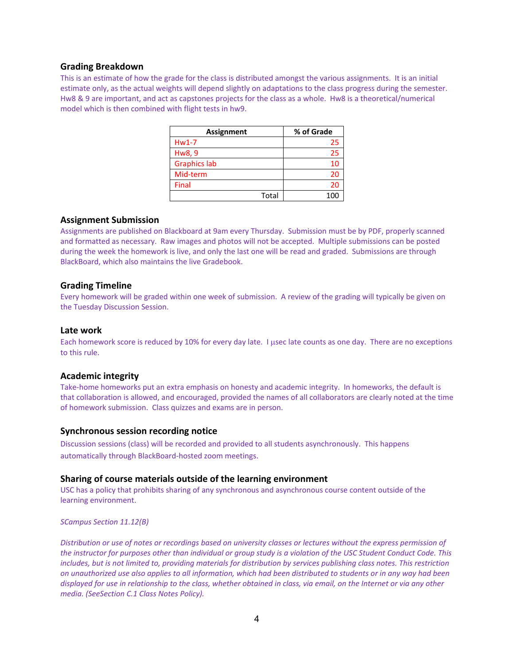### **Grading Breakdown**

This is an estimate of how the grade for the class is distributed amongst the various assignments. It is an initial estimate only, as the actual weights will depend slightly on adaptations to the class progress during the semester. Hw8 & 9 are important, and act as capstones projects for the class as a whole. Hw8 is a theoretical/numerical model which is then combined with flight tests in hw9.

| <b>Assignment</b>   | % of Grade |
|---------------------|------------|
| $Hw1-7$             | 25         |
| Hw8, 9              | 25         |
| <b>Graphics lab</b> | 10         |
| Mid-term            | 20         |
| Final               | 20         |
| Total               | 1 በ(       |

### **Assignment Submission**

Assignments are published on Blackboard at 9am every Thursday. Submission must be by PDF, properly scanned and formatted as necessary. Raw images and photos will not be accepted. Multiple submissions can be posted during the week the homework is live, and only the last one will be read and graded. Submissions are through BlackBoard, which also maintains the live Gradebook.

### **Grading Timeline**

Every homework will be graded within one week of submission. A review of the grading will typically be given on the Tuesday Discussion Session.

### **Late work**

Each homework score is reduced by 10% for every day late. I usec late counts as one day. There are no exceptions to this rule.

## **Academic integrity**

Take-home homeworks put an extra emphasis on honesty and academic integrity. In homeworks, the default is that collaboration is allowed, and encouraged, provided the names of all collaborators are clearly noted at the time of homework submission. Class quizzes and exams are in person.

### **Synchronous session recording notice**

Discussion sessions (class) will be recorded and provided to all students asynchronously. This happens automatically through BlackBoard-hosted zoom meetings.

### **Sharing of course materials outside of the learning environment**

USC has a policy that prohibits sharing of any synchronous and asynchronous course content outside of the learning environment.

*SCampus Section 11.12(B)* 

Distribution or use of notes or recordings based on university classes or lectures without the express permission of *the instructor for purposes other than individual or group study is a violation of the USC Student Conduct Code. This includes, but is not limited to, providing materials for distribution by services publishing class notes. This restriction on unauthorized use also applies to all information, which had been distributed to students or in any way had been displayed for use in relationship to the class, whether obtained in class, via email, on the Internet or via any other media. (SeeSection C.1 Class Notes Policy).*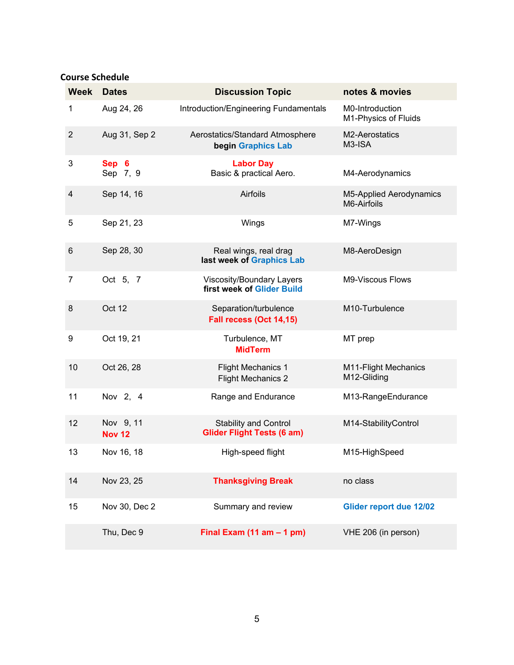# **Course Schedule**

| <b>Week</b>    | <b>Dates</b>               | <b>Discussion Topic</b>                                           | notes & movies                          |
|----------------|----------------------------|-------------------------------------------------------------------|-----------------------------------------|
| 1              | Aug 24, 26                 | Introduction/Engineering Fundamentals                             | M0-Introduction<br>M1-Physics of Fluids |
| $\overline{2}$ | Aug 31, Sep 2              | Aerostatics/Standard Atmosphere<br>begin Graphics Lab             | M2-Aerostatics<br>M3-ISA                |
| 3              | Sep 6<br>Sep 7, 9          | <b>Labor Day</b><br>Basic & practical Aero.                       | M4-Aerodynamics                         |
| 4              | Sep 14, 16                 | Airfoils                                                          | M5-Applied Aerodynamics<br>M6-Airfoils  |
| 5              | Sep 21, 23                 | Wings                                                             | M7-Wings                                |
| 6              | Sep 28, 30                 | Real wings, real drag<br>last week of Graphics Lab                | M8-AeroDesign                           |
| 7              | Oct 5, 7                   | Viscosity/Boundary Layers<br>first week of Glider Build           | M9-Viscous Flows                        |
| 8              | Oct 12                     | Separation/turbulence<br>Fall recess (Oct 14,15)                  | M10-Turbulence                          |
| 9              | Oct 19, 21                 | Turbulence, MT<br><b>MidTerm</b>                                  | MT prep                                 |
| 10             | Oct 26, 28                 | <b>Flight Mechanics 1</b><br><b>Flight Mechanics 2</b>            | M11-Flight Mechanics<br>M12-Gliding     |
| 11             | Nov 2, 4                   | Range and Endurance                                               | M13-RangeEndurance                      |
| 12             | Nov 9, 11<br><b>Nov 12</b> | <b>Stability and Control</b><br><b>Glider Flight Tests (6 am)</b> | M14-StabilityControl                    |
| 13             | Nov 16, 18                 | High-speed flight                                                 | M15-HighSpeed                           |
| 14             | Nov 23, 25                 | <b>Thanksgiving Break</b>                                         | no class                                |
| 15             | Nov 30, Dec 2              | Summary and review                                                | <b>Glider report due 12/02</b>          |
|                | Thu, Dec 9                 | Final Exam $(11 am - 1 pm)$                                       | VHE 206 (in person)                     |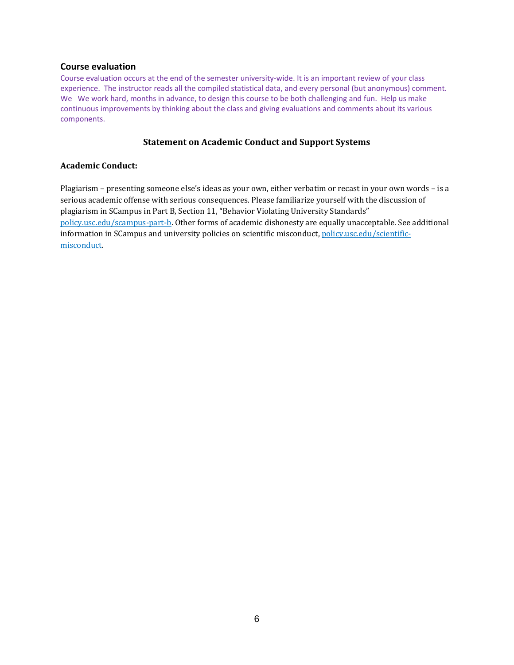## **Course evaluation**

Course evaluation occurs at the end of the semester university-wide. It is an important review of your class experience. The instructor reads all the compiled statistical data, and every personal (but anonymous) comment. We We work hard, months in advance, to design this course to be both challenging and fun. Help us make continuous improvements by thinking about the class and giving evaluations and comments about its various components.

## **Statement on Academic Conduct and Support Systems**

## **Academic Conduct:**

Plagiarism – presenting someone else's ideas as your own, either verbatim or recast in your own words – is a serious academic offense with serious consequences. Please familiarize yourself with the discussion of plagiarism in SCampus in Part B, Section 11, "Behavior Violating University Standards" [policy.usc.edu/scampus-part-b.](https://policy.usc.edu/scampus-part-b/) Other forms of academic dishonesty are equally unacceptable. See additional information in SCampus and university policies on scientific misconduct[, policy.usc.edu/scientific](http://policy.usc.edu/scientific-misconduct)[misconduct.](http://policy.usc.edu/scientific-misconduct)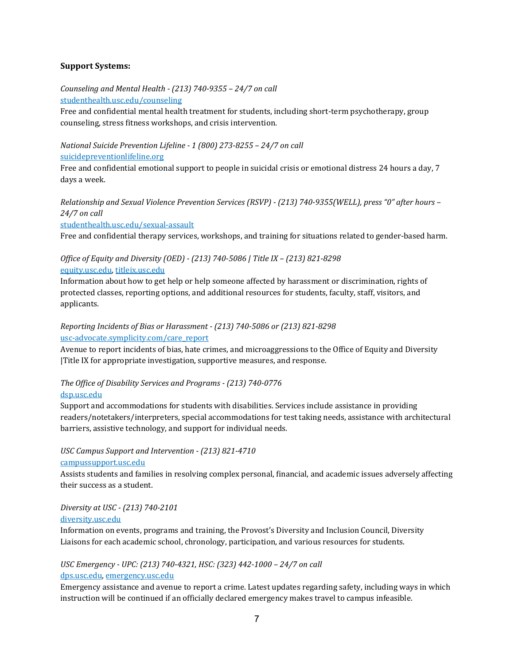# **Support Systems:**

*Counseling and Mental Health - (213) 740-9355 – 24/7 on call* [studenthealth.usc.edu/counseling](https://studenthealth.usc.edu/counseling/)

Free and confidential mental health treatment for students, including short-term psychotherapy, group [co](https://engemannshc.usc.edu/counseling/)unseling, stress fitness workshops, and crisis intervention.

*National Suicide Prevention Lifeline - 1 (800) 273-8255 – 24/7 on call* [suicidepreventionlifeline.org](http://www.suicidepreventionlifeline.org/)

Free and confidential emotional support to people in suicidal crisis or emotional distress 24 hours a day, 7 [da](http://www.suicidepreventionlifeline.org/)ys a week.

*Relationship and Sexual Violence Prevention Services (RSVP) - (213) 740-9355(WELL), press "0" after hours – 24/7 on call*

[studenthealth.usc.edu/sexual-assault](https://studenthealth.usc.edu/sexual-assault/)

Free and confidential therapy services, workshops, and training for situations related to gender-based har[m.](https://engemannshc.usc.edu/rsvp/)

# *Office of Equity and Diversity (OED) - (213) 740-5086 | Title IX – (213) 821-8298* [equity.usc.edu,](https://equity.usc.edu/) [titleix.usc.edu](http://titleix.usc.edu/)

Information about how to get help or help someone affected by harassment or discrimination, rights of protected classes, reporting options, and additional resources for students, faculty, staff, visitors, and applicants.

# *Reporting Incidents of Bias or Harassment - (213) 740-5086 or (213) 821-8298* [usc-advocate.symplicity.com/care\\_report](https://usc-advocate.symplicity.com/care_report/)

Avenue to report incidents of bias, hate crimes, and microaggressions to the Office of Equity and Diversity |Title IX for appropriate investigation, supportive measures, and respons[e.](https://studentaffairs.usc.edu/bias-assessment-response-support/)

# *The Office of Disability Services and Programs - (213) 740-0776*

## [dsp.usc.edu](http://dsp.usc.edu/)

Support and accommodations for students with disabilities. Services include assistance in providing readers/notetakers/interpreters, special accommodations for test taking needs, assistance with architectural [ba](http://dsp.usc.edu/)rriers, assistive technology, and support for individual needs.

# *USC Campus Support and Intervention - (213) 821-4710*

## [campussupport.usc.edu](https://campussupport.usc.edu/)

Assists students and families in resolving complex personal, financial, and academic issues adversely affecting their success as a student.

# *Diversity at USC - (213) 740-2101*

## [diversity.usc.edu](https://diversity.usc.edu/)

Information on events, programs and training, the Provost's Diversity and Inclusion Council, Diversity Liaisons for each academic school, chronology, participation, and various resources for students[.](https://diversity.usc.edu/) 

# *USC Emergency - UPC: (213) 740-4321, HSC: (323) 442-1000 – 24/7 on call*  [dps.usc.edu,](http://dps.usc.edu/) [emergency.usc.edu](http://emergency.usc.edu/)

Emergency assistance and avenue to report a crime. Latest updates regarding safety, including ways in which instruction will be continued if an officially declared emergency makes travel to campus infeasible.